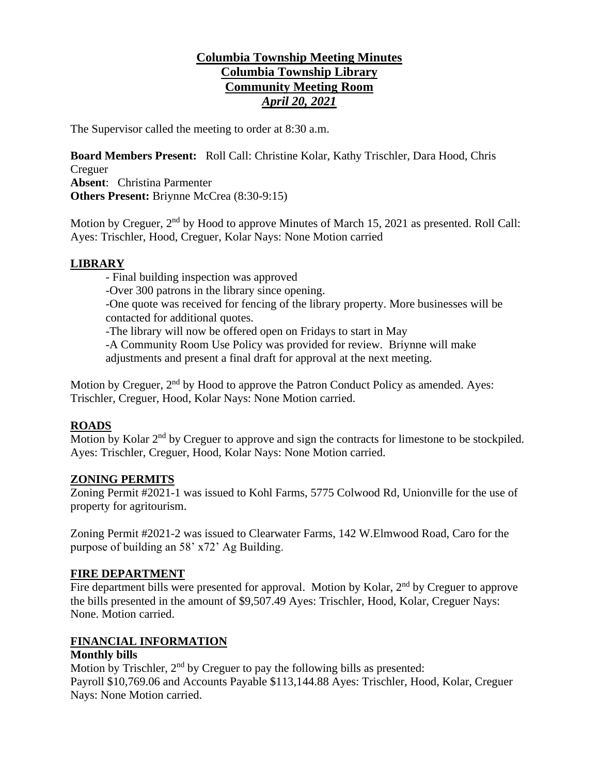# **Columbia Township Meeting Minutes Columbia Township Library Community Meeting Room** *April 20, 2021*

The Supervisor called the meeting to order at 8:30 a.m.

**Board Members Present:** Roll Call: Christine Kolar, Kathy Trischler, Dara Hood, Chris Creguer **Absent**: Christina Parmenter **Others Present:** Briynne McCrea (8:30-9:15)

Motion by Creguer, 2<sup>nd</sup> by Hood to approve Minutes of March 15, 2021 as presented. Roll Call: Ayes: Trischler, Hood, Creguer, Kolar Nays: None Motion carried

## **LIBRARY**

- Final building inspection was approved

-Over 300 patrons in the library since opening.

-One quote was received for fencing of the library property. More businesses will be contacted for additional quotes.

-The library will now be offered open on Fridays to start in May

-A Community Room Use Policy was provided for review. Briynne will make

adjustments and present a final draft for approval at the next meeting.

Motion by Creguer, 2<sup>nd</sup> by Hood to approve the Patron Conduct Policy as amended. Ayes: Trischler, Creguer, Hood, Kolar Nays: None Motion carried.

## **ROADS**

Motion by Kolar 2<sup>nd</sup> by Creguer to approve and sign the contracts for limestone to be stockpiled. Ayes: Trischler, Creguer, Hood, Kolar Nays: None Motion carried.

## **ZONING PERMITS**

Zoning Permit #2021-1 was issued to Kohl Farms, 5775 Colwood Rd, Unionville for the use of property for agritourism.

Zoning Permit #2021-2 was issued to Clearwater Farms, 142 W.Elmwood Road, Caro for the purpose of building an 58' x72' Ag Building.

### **FIRE DEPARTMENT**

Fire department bills were presented for approval. Motion by Kolar,  $2<sup>nd</sup>$  by Creguer to approve the bills presented in the amount of \$9,507.49 Ayes: Trischler, Hood, Kolar, Creguer Nays: None. Motion carried.

## **FINANCIAL INFORMATION**

### **Monthly bills**

Motion by Trischler, 2<sup>nd</sup> by Creguer to pay the following bills as presented: Payroll \$10,769.06 and Accounts Payable \$113,144.88 Ayes: Trischler, Hood, Kolar, Creguer Nays: None Motion carried.